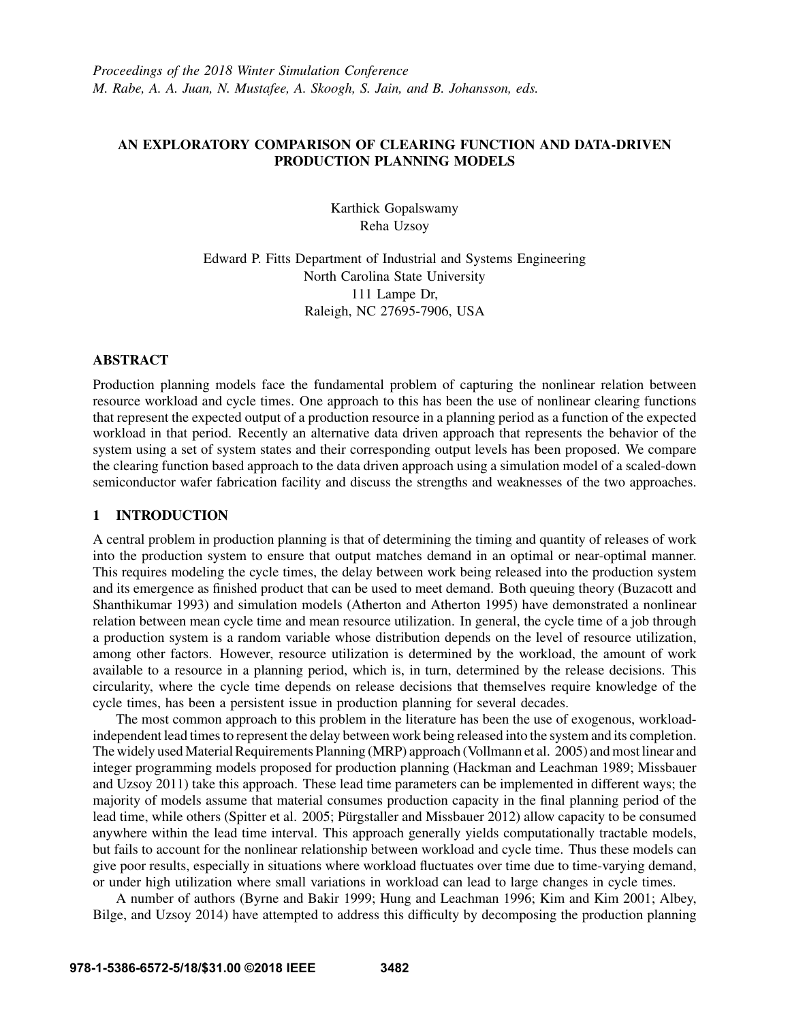# AN EXPLORATORY COMPARISON OF CLEARING FUNCTION AND DATA-DRIVEN PRODUCTION PLANNING MODELS

Karthick Gopalswamy Reha Uzsoy

Edward P. Fitts Department of Industrial and Systems Engineering North Carolina State University 111 Lampe Dr, Raleigh, NC 27695-7906, USA

## ABSTRACT

Production planning models face the fundamental problem of capturing the nonlinear relation between resource workload and cycle times. One approach to this has been the use of nonlinear clearing functions that represent the expected output of a production resource in a planning period as a function of the expected workload in that period. Recently an alternative data driven approach that represents the behavior of the system using a set of system states and their corresponding output levels has been proposed. We compare the clearing function based approach to the data driven approach using a simulation model of a scaled-down semiconductor wafer fabrication facility and discuss the strengths and weaknesses of the two approaches.

### 1 INTRODUCTION

A central problem in production planning is that of determining the timing and quantity of releases of work into the production system to ensure that output matches demand in an optimal or near-optimal manner. This requires modeling the cycle times, the delay between work being released into the production system and its emergence as finished product that can be used to meet demand. Both queuing theory (Buzacott and Shanthikumar 1993) and simulation models (Atherton and Atherton 1995) have demonstrated a nonlinear relation between mean cycle time and mean resource utilization. In general, the cycle time of a job through a production system is a random variable whose distribution depends on the level of resource utilization, among other factors. However, resource utilization is determined by the workload, the amount of work available to a resource in a planning period, which is, in turn, determined by the release decisions. This circularity, where the cycle time depends on release decisions that themselves require knowledge of the cycle times, has been a persistent issue in production planning for several decades.

The most common approach to this problem in the literature has been the use of exogenous, workloadindependent lead times to represent the delay between work being released into the system and its completion. The widely used Material Requirements Planning (MRP) approach (Vollmann et al. 2005) and most linear and integer programming models proposed for production planning (Hackman and Leachman 1989; Missbauer and Uzsoy 2011) take this approach. These lead time parameters can be implemented in different ways; the majority of models assume that material consumes production capacity in the final planning period of the lead time, while others (Spitter et al. 2005; Pürgstaller and Missbauer 2012) allow capacity to be consumed anywhere within the lead time interval. This approach generally yields computationally tractable models, but fails to account for the nonlinear relationship between workload and cycle time. Thus these models can give poor results, especially in situations where workload fluctuates over time due to time-varying demand, or under high utilization where small variations in workload can lead to large changes in cycle times.

A number of authors (Byrne and Bakir 1999; Hung and Leachman 1996; Kim and Kim 2001; Albey, Bilge, and Uzsoy 2014) have attempted to address this difficulty by decomposing the production planning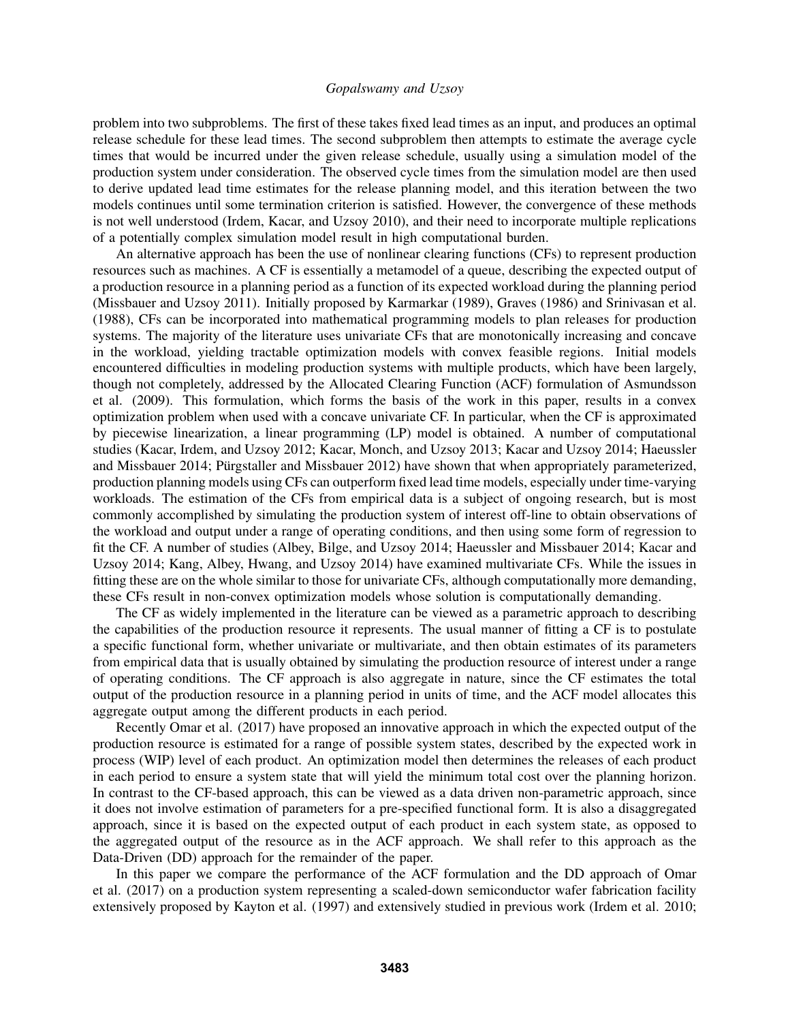problem into two subproblems. The first of these takes fixed lead times as an input, and produces an optimal release schedule for these lead times. The second subproblem then attempts to estimate the average cycle times that would be incurred under the given release schedule, usually using a simulation model of the production system under consideration. The observed cycle times from the simulation model are then used to derive updated lead time estimates for the release planning model, and this iteration between the two models continues until some termination criterion is satisfied. However, the convergence of these methods is not well understood (Irdem, Kacar, and Uzsoy 2010), and their need to incorporate multiple replications of a potentially complex simulation model result in high computational burden.

An alternative approach has been the use of nonlinear clearing functions (CFs) to represent production resources such as machines. A CF is essentially a metamodel of a queue, describing the expected output of a production resource in a planning period as a function of its expected workload during the planning period (Missbauer and Uzsoy 2011). Initially proposed by Karmarkar (1989), Graves (1986) and Srinivasan et al. (1988), CFs can be incorporated into mathematical programming models to plan releases for production systems. The majority of the literature uses univariate CFs that are monotonically increasing and concave in the workload, yielding tractable optimization models with convex feasible regions. Initial models encountered difficulties in modeling production systems with multiple products, which have been largely, though not completely, addressed by the Allocated Clearing Function (ACF) formulation of Asmundsson et al. (2009). This formulation, which forms the basis of the work in this paper, results in a convex optimization problem when used with a concave univariate CF. In particular, when the CF is approximated by piecewise linearization, a linear programming (LP) model is obtained. A number of computational studies (Kacar, Irdem, and Uzsoy 2012; Kacar, Monch, and Uzsoy 2013; Kacar and Uzsoy 2014; Haeussler and Missbauer 2014; Pürgstaller and Missbauer 2012) have shown that when appropriately parameterized, production planning models using CFs can outperform fixed lead time models, especially under time-varying workloads. The estimation of the CFs from empirical data is a subject of ongoing research, but is most commonly accomplished by simulating the production system of interest off-line to obtain observations of the workload and output under a range of operating conditions, and then using some form of regression to fit the CF. A number of studies (Albey, Bilge, and Uzsoy 2014; Haeussler and Missbauer 2014; Kacar and Uzsoy 2014; Kang, Albey, Hwang, and Uzsoy 2014) have examined multivariate CFs. While the issues in fitting these are on the whole similar to those for univariate CFs, although computationally more demanding, these CFs result in non-convex optimization models whose solution is computationally demanding.

The CF as widely implemented in the literature can be viewed as a parametric approach to describing the capabilities of the production resource it represents. The usual manner of fitting a CF is to postulate a specific functional form, whether univariate or multivariate, and then obtain estimates of its parameters from empirical data that is usually obtained by simulating the production resource of interest under a range of operating conditions. The CF approach is also aggregate in nature, since the CF estimates the total output of the production resource in a planning period in units of time, and the ACF model allocates this aggregate output among the different products in each period.

Recently Omar et al. (2017) have proposed an innovative approach in which the expected output of the production resource is estimated for a range of possible system states, described by the expected work in process (WIP) level of each product. An optimization model then determines the releases of each product in each period to ensure a system state that will yield the minimum total cost over the planning horizon. In contrast to the CF-based approach, this can be viewed as a data driven non-parametric approach, since it does not involve estimation of parameters for a pre-specified functional form. It is also a disaggregated approach, since it is based on the expected output of each product in each system state, as opposed to the aggregated output of the resource as in the ACF approach. We shall refer to this approach as the Data-Driven (DD) approach for the remainder of the paper.

In this paper we compare the performance of the ACF formulation and the DD approach of Omar et al. (2017) on a production system representing a scaled-down semiconductor wafer fabrication facility extensively proposed by Kayton et al. (1997) and extensively studied in previous work (Irdem et al. 2010;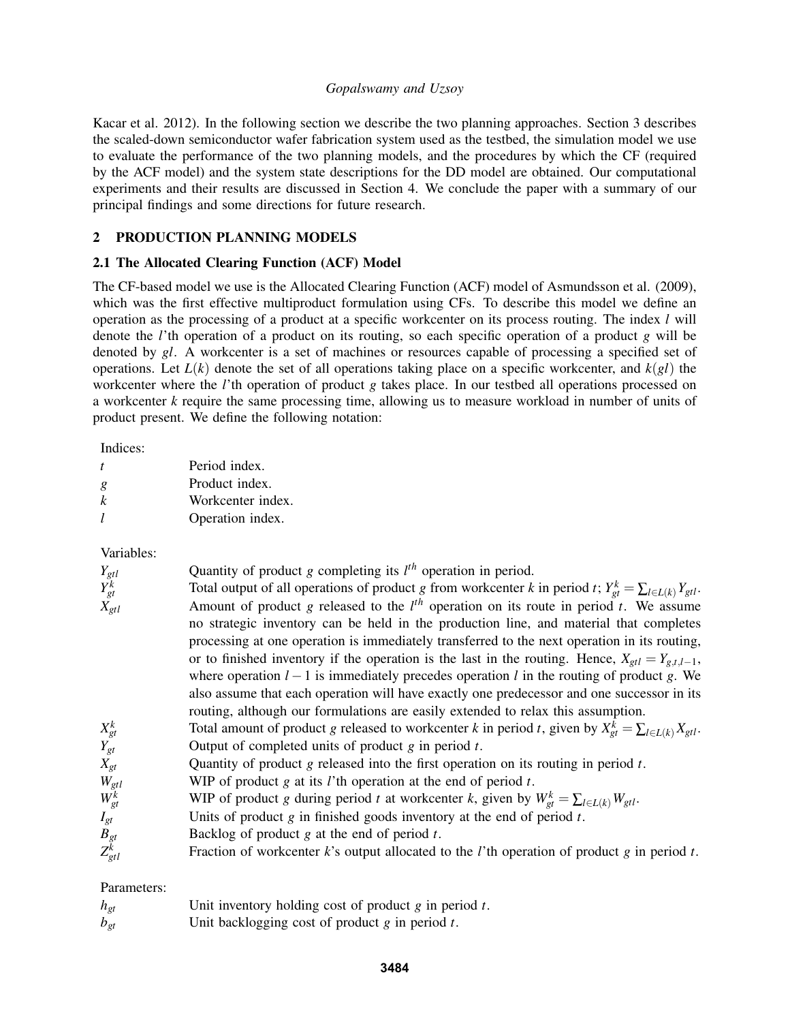Kacar et al. 2012). In the following section we describe the two planning approaches. Section 3 describes the scaled-down semiconductor wafer fabrication system used as the testbed, the simulation model we use to evaluate the performance of the two planning models, and the procedures by which the CF (required by the ACF model) and the system state descriptions for the DD model are obtained. Our computational experiments and their results are discussed in Section 4. We conclude the paper with a summary of our principal findings and some directions for future research.

# 2 PRODUCTION PLANNING MODELS

# 2.1 The Allocated Clearing Function (ACF) Model

The CF-based model we use is the Allocated Clearing Function (ACF) model of Asmundsson et al. (2009), which was the first effective multiproduct formulation using CFs. To describe this model we define an operation as the processing of a product at a specific workcenter on its process routing. The index *l* will denote the *l*'th operation of a product on its routing, so each specific operation of a product *g* will be denoted by *gl*. A workcenter is a set of machines or resources capable of processing a specified set of operations. Let *L*(*k*) denote the set of all operations taking place on a specific workcenter, and *k*(*gl*) the workcenter where the *l*'th operation of product *g* takes place. In our testbed all operations processed on a workcenter *k* require the same processing time, allowing us to measure workload in number of units of product present. We define the following notation:

Indices:

|   | Period index.     |
|---|-------------------|
| g | Product index.    |
| k | Workcenter index. |
|   | Operation index.  |

# Variables:

| $Y_{gtl}$   | Quantity of product $g$ completing its $l^{th}$ operation in period.                                                |
|-------------|---------------------------------------------------------------------------------------------------------------------|
| $Y_{gt}^k$  | Total output of all operations of product g from workcenter k in period t; $Y_{gt}^k = \sum_{l \in L(k)} Y_{gtl}$ . |
| $X_{gtl}$   | Amount of product g released to the $l^{th}$ operation on its route in period t. We assume                          |
|             | no strategic inventory can be held in the production line, and material that completes                              |
|             | processing at one operation is immediately transferred to the next operation in its routing,                        |
|             | or to finished inventory if the operation is the last in the routing. Hence, $X_{gtl} = Y_{g,t,l-1}$ ,              |
|             | where operation $l-1$ is immediately precedes operation l in the routing of product g. We                           |
|             | also assume that each operation will have exactly one predecessor and one successor in its                          |
|             | routing, although our formulations are easily extended to relax this assumption.                                    |
| $X_{gt}^k$  | Total amount of product g released to workcenter k in period t, given by $X_{gt}^{k} = \sum_{l \in L(k)} X_{gtl}$ . |
| $Y_{gt}$    | Output of completed units of product $g$ in period $t$ .                                                            |
| $X_{gt}$    | Quantity of product $g$ released into the first operation on its routing in period $t$ .                            |
| $W_{gtl}$   | WIP of product $g$ at its $l$ 'th operation at the end of period $t$ .                                              |
| $W_{gt}^k$  | WIP of product g during period t at workcenter k, given by $W_{gt}^k = \sum_{l \in L(k)} W_{gtl}$ .                 |
| $I_{gt}$    | Units of product $g$ in finished goods inventory at the end of period $t$ .                                         |
| $B_{gt}$    | Backlog of product $g$ at the end of period $t$ .                                                                   |
| $Z_{gtl}^k$ | Fraction of workcenter $k$ 's output allocated to the <i>l</i> 'th operation of product $g$ in period $t$ .         |
|             |                                                                                                                     |

# Parameters:

| $h_{gt}$ | Unit inventory holding cost of product $g$ in period $t$ . |
|----------|------------------------------------------------------------|
| $b_{gt}$ | Unit backlogging cost of product $g$ in period $t$ .       |

**3484**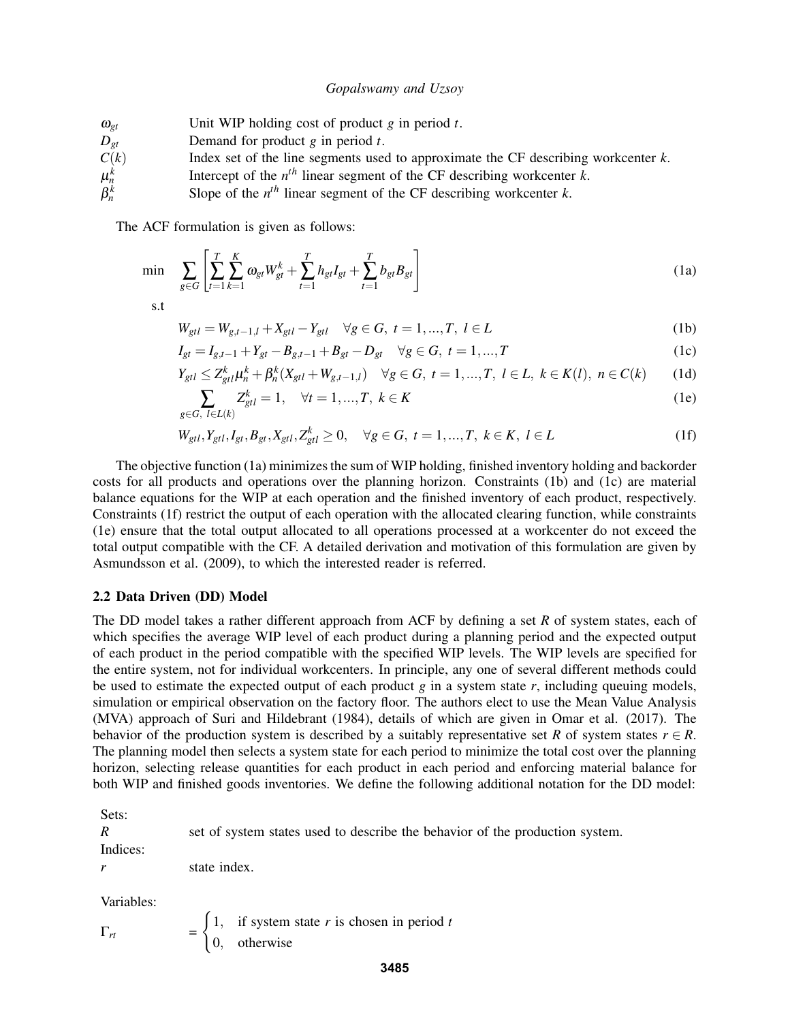| $\omega_{gt}$ | Unit WIP holding cost of product $g$ in period $t$ .                                  |
|---------------|---------------------------------------------------------------------------------------|
| $D_{et}$      | Demand for product $g$ in period $t$ .                                                |
| C(k)          | Index set of the line segments used to approximate the CF describing workcenter $k$ . |
| $\mu_n^k$     | Intercept of the $nth$ linear segment of the CF describing workcenter k.              |
| $\beta_n^k$   | Slope of the $nth$ linear segment of the CF describing workcenter k.                  |

The ACF formulation is given as follows:

$$
\min \sum_{g \in G} \left[ \sum_{t=1}^{T} \sum_{k=1}^{K} \omega_{gt} W_{gt}^{k} + \sum_{t=1}^{T} h_{gt} I_{gt} + \sum_{t=1}^{T} b_{gt} B_{gt} \right]
$$
(1a)

s.t

$$
W_{gtl} = W_{g,t-1,l} + X_{gtl} - Y_{gtl} \quad \forall g \in G, \ t = 1,...,T, \ l \in L
$$
 (1b)

$$
I_{gt} = I_{g,t-1} + Y_{gt} - B_{g,t-1} + B_{gt} - D_{gt} \quad \forall g \in G, \ t = 1,...,T
$$
 (1c)

$$
Y_{gtl} \le Z_{gtl}^k \mu_n^k + \beta_n^k (X_{gtl} + W_{g,t-1,l}) \quad \forall g \in G, \ t = 1, ..., T, \ l \in L, \ k \in K(l), \ n \in C(k) \tag{1d}
$$

$$
\sum_{g \in G, \ l \in L(k)} Z_{gtl}^k = 1, \quad \forall t = 1, ..., T, \ k \in K
$$
 (1e)

$$
W_{gtl}, Y_{gtl}, I_{gt}, B_{gt}, X_{gtl}, Z_{gtl}^k \ge 0, \quad \forall g \in G, \ t = 1, ..., T, \ k \in K, \ l \in L
$$
 (1f)

The objective function (1a) minimizes the sum of WIP holding, finished inventory holding and backorder costs for all products and operations over the planning horizon. Constraints (1b) and (1c) are material balance equations for the WIP at each operation and the finished inventory of each product, respectively. Constraints (1f) restrict the output of each operation with the allocated clearing function, while constraints (1e) ensure that the total output allocated to all operations processed at a workcenter do not exceed the total output compatible with the CF. A detailed derivation and motivation of this formulation are given by Asmundsson et al. (2009), to which the interested reader is referred.

### 2.2 Data Driven (DD) Model

The DD model takes a rather different approach from ACF by defining a set *R* of system states, each of which specifies the average WIP level of each product during a planning period and the expected output of each product in the period compatible with the specified WIP levels. The WIP levels are specified for the entire system, not for individual workcenters. In principle, any one of several different methods could be used to estimate the expected output of each product *g* in a system state *r*, including queuing models, simulation or empirical observation on the factory floor. The authors elect to use the Mean Value Analysis (MVA) approach of Suri and Hildebrant (1984), details of which are given in Omar et al. (2017). The behavior of the production system is described by a suitably representative set *R* of system states  $r \in R$ . The planning model then selects a system state for each period to minimize the total cost over the planning horizon, selecting release quantities for each product in each period and enforcing material balance for both WIP and finished goods inventories. We define the following additional notation for the DD model:

Sets:

*R* set of system states used to describe the behavior of the production system. Indices:

*r* state index.

Variables:

 $\Gamma_{rt}$  $\int 1$ , if system state *r* is chosen in period *t* 0, otherwise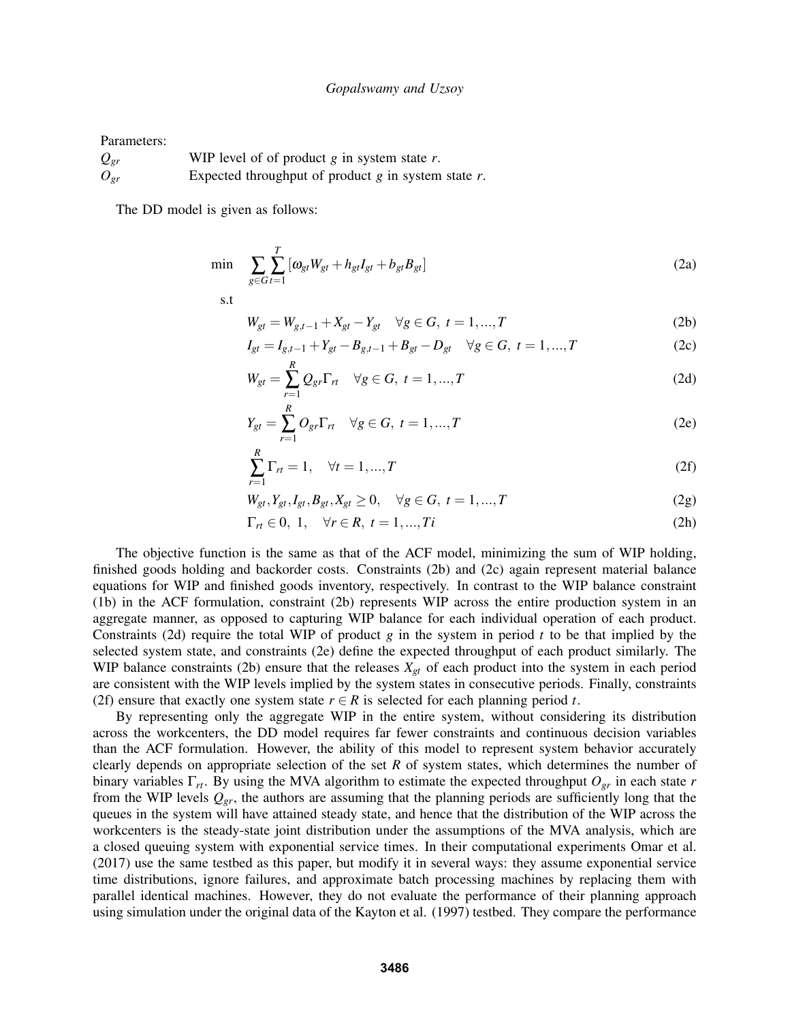Parameters:

*Qgr* WIP level of of product *g* in system state *r*. *Ogr* Expected throughput of product *g* in system state *r*.

The DD model is given as follows:

$$
\min \sum_{g \in G} \sum_{t=1}^{T} [\omega_{gt} W_{gt} + h_{gt} I_{gt} + b_{gt} B_{gt}] \tag{2a}
$$

s.t

$$
W_{gt} = W_{g,t-1} + X_{gt} - Y_{gt} \quad \forall g \in G, \ t = 1,...,T
$$
 (2b)

$$
I_{gt} = I_{g,t-1} + Y_{gt} - B_{g,t-1} + B_{gt} - D_{gt} \quad \forall g \in G, \ t = 1,...,T
$$
 (2c)

$$
W_{gt} = \sum_{r=1}^{R} Q_{gr} \Gamma_{rt} \quad \forall g \in G, \ t = 1, ..., T
$$
 (2d)

$$
Y_{gt} = \sum_{r=1}^{R} O_{gr} \Gamma_{rt} \quad \forall g \in G, \ t = 1, ..., T
$$
 (2e)

$$
\sum_{r=1}^{R} \Gamma_{rt} = 1, \quad \forall t = 1, ..., T
$$
 (2f)

$$
W_{gt}, Y_{gt}, I_{gt}, B_{gt}, X_{gt} \ge 0, \quad \forall g \in G, \ t = 1, ..., T
$$
\n(2g)

$$
\Gamma_{rt} \in 0, 1, \quad \forall r \in R, t = 1, ..., Ti
$$
 (2h)

The objective function is the same as that of the ACF model, minimizing the sum of WIP holding, finished goods holding and backorder costs. Constraints (2b) and (2c) again represent material balance equations for WIP and finished goods inventory, respectively. In contrast to the WIP balance constraint (1b) in the ACF formulation, constraint (2b) represents WIP across the entire production system in an aggregate manner, as opposed to capturing WIP balance for each individual operation of each product. Constraints (2d) require the total WIP of product  $g$  in the system in period  $t$  to be that implied by the selected system state, and constraints (2e) define the expected throughput of each product similarly. The WIP balance constraints (2b) ensure that the releases  $X_{gt}$  of each product into the system in each period are consistent with the WIP levels implied by the system states in consecutive periods. Finally, constraints (2f) ensure that exactly one system state  $r \in R$  is selected for each planning period *t*.

By representing only the aggregate WIP in the entire system, without considering its distribution across the workcenters, the DD model requires far fewer constraints and continuous decision variables than the ACF formulation. However, the ability of this model to represent system behavior accurately clearly depends on appropriate selection of the set *R* of system states, which determines the number of binary variables Γ*rt*. By using the MVA algorithm to estimate the expected throughput *Ogr* in each state *r* from the WIP levels  $Q_{gr}$ , the authors are assuming that the planning periods are sufficiently long that the queues in the system will have attained steady state, and hence that the distribution of the WIP across the workcenters is the steady-state joint distribution under the assumptions of the MVA analysis, which are a closed queuing system with exponential service times. In their computational experiments Omar et al. (2017) use the same testbed as this paper, but modify it in several ways: they assume exponential service time distributions, ignore failures, and approximate batch processing machines by replacing them with parallel identical machines. However, they do not evaluate the performance of their planning approach using simulation under the original data of the Kayton et al. (1997) testbed. They compare the performance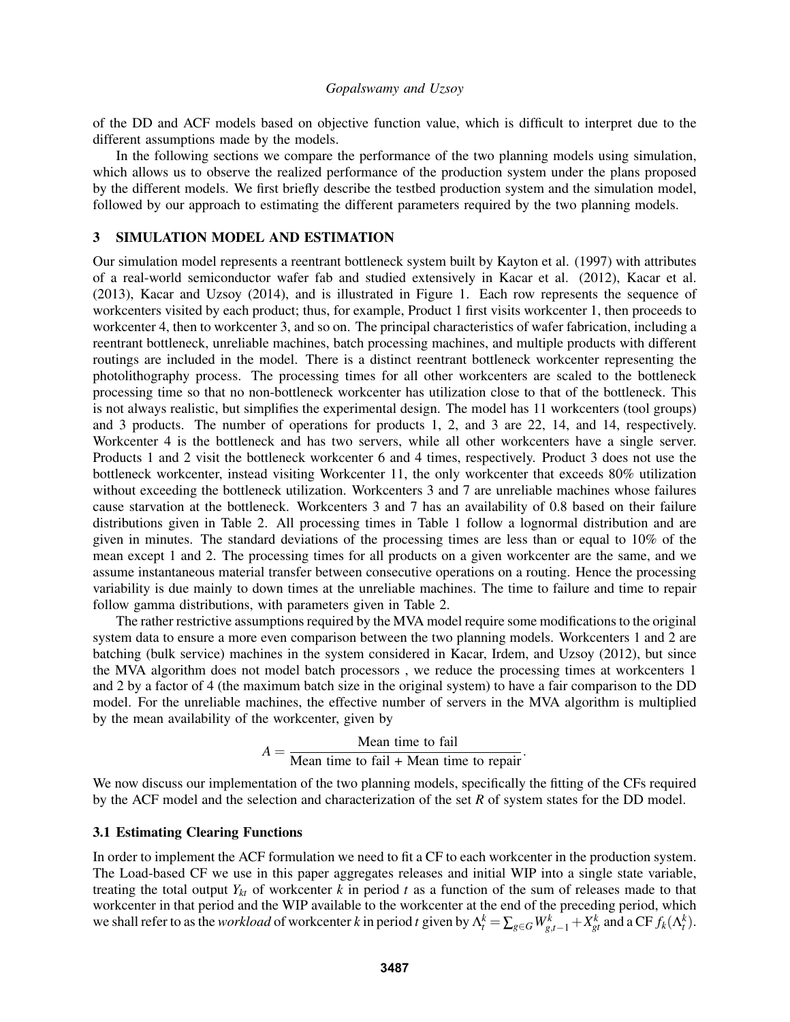of the DD and ACF models based on objective function value, which is difficult to interpret due to the different assumptions made by the models.

In the following sections we compare the performance of the two planning models using simulation, which allows us to observe the realized performance of the production system under the plans proposed by the different models. We first briefly describe the testbed production system and the simulation model, followed by our approach to estimating the different parameters required by the two planning models.

# 3 SIMULATION MODEL AND ESTIMATION

Our simulation model represents a reentrant bottleneck system built by Kayton et al. (1997) with attributes of a real-world semiconductor wafer fab and studied extensively in Kacar et al. (2012), Kacar et al. (2013), Kacar and Uzsoy (2014), and is illustrated in Figure 1. Each row represents the sequence of workcenters visited by each product; thus, for example, Product 1 first visits workcenter 1, then proceeds to workcenter 4, then to workcenter 3, and so on. The principal characteristics of wafer fabrication, including a reentrant bottleneck, unreliable machines, batch processing machines, and multiple products with different routings are included in the model. There is a distinct reentrant bottleneck workcenter representing the photolithography process. The processing times for all other workcenters are scaled to the bottleneck processing time so that no non-bottleneck workcenter has utilization close to that of the bottleneck. This is not always realistic, but simplifies the experimental design. The model has 11 workcenters (tool groups) and 3 products. The number of operations for products 1, 2, and 3 are 22, 14, and 14, respectively. Workcenter 4 is the bottleneck and has two servers, while all other workcenters have a single server. Products 1 and 2 visit the bottleneck workcenter 6 and 4 times, respectively. Product 3 does not use the bottleneck workcenter, instead visiting Workcenter 11, the only workcenter that exceeds 80% utilization without exceeding the bottleneck utilization. Workcenters 3 and 7 are unreliable machines whose failures cause starvation at the bottleneck. Workcenters 3 and 7 has an availability of 0.8 based on their failure distributions given in Table 2. All processing times in Table 1 follow a lognormal distribution and are given in minutes. The standard deviations of the processing times are less than or equal to 10% of the mean except 1 and 2. The processing times for all products on a given workcenter are the same, and we assume instantaneous material transfer between consecutive operations on a routing. Hence the processing variability is due mainly to down times at the unreliable machines. The time to failure and time to repair follow gamma distributions, with parameters given in Table 2.

The rather restrictive assumptions required by the MVA model require some modifications to the original system data to ensure a more even comparison between the two planning models. Workcenters 1 and 2 are batching (bulk service) machines in the system considered in Kacar, Irdem, and Uzsoy (2012), but since the MVA algorithm does not model batch processors , we reduce the processing times at workcenters 1 and 2 by a factor of 4 (the maximum batch size in the original system) to have a fair comparison to the DD model. For the unreliable machines, the effective number of servers in the MVA algorithm is multiplied by the mean availability of the workcenter, given by

$$
A = \frac{\text{Mean time to fail}}{\text{Mean time to fail} + \text{Mean time to repair}}.
$$

We now discuss our implementation of the two planning models, specifically the fitting of the CFs required by the ACF model and the selection and characterization of the set *R* of system states for the DD model.

### 3.1 Estimating Clearing Functions

In order to implement the ACF formulation we need to fit a CF to each workcenter in the production system. The Load-based CF we use in this paper aggregates releases and initial WIP into a single state variable, treating the total output  $Y_{kt}$  of workcenter  $k$  in period  $t$  as a function of the sum of releases made to that workcenter in that period and the WIP available to the workcenter at the end of the preceding period, which we shall refer to as the *workload* of workcenter k in period t given by  $\Lambda_t^k = \sum_{g \in G} W_{g,t-1}^k + X_{gt}^k$  and a CF  $f_k(\Lambda_t^k)$ .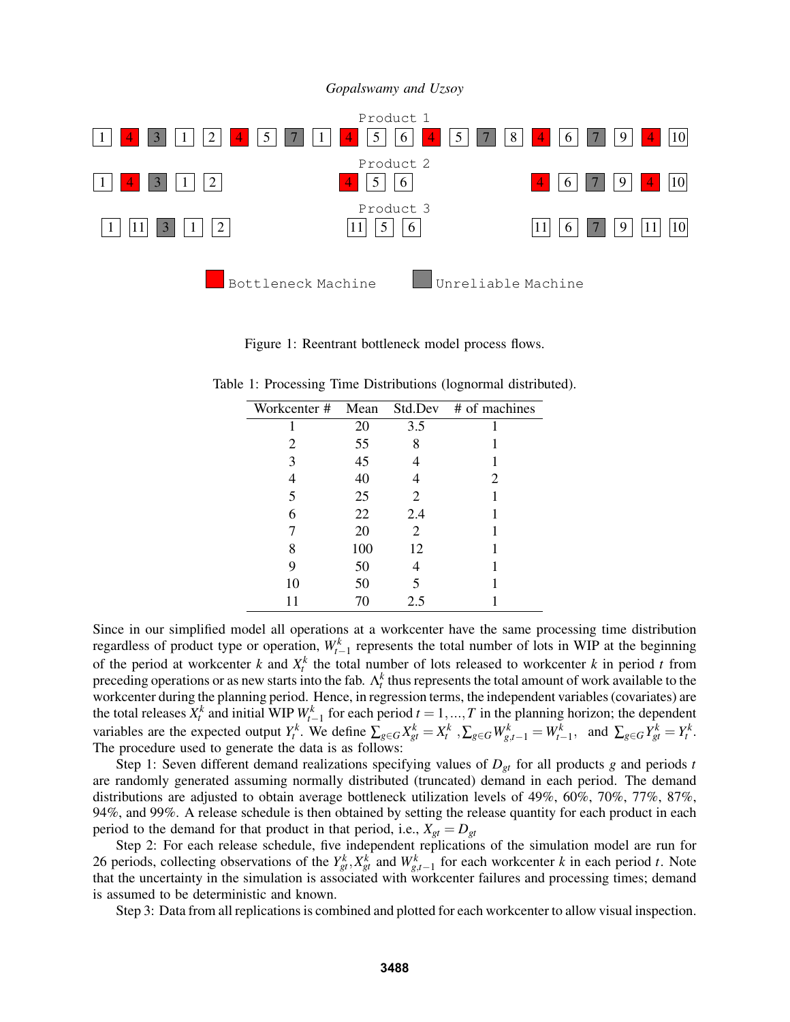

Figure 1: Reentrant bottleneck model process flows.

Table 1: Processing Time Distributions (lognormal distributed).

| Workcenter # Mean |     |     | Std.Dev # of machines |
|-------------------|-----|-----|-----------------------|
|                   | 20  | 3.5 |                       |
| 2                 | 55  | 8   |                       |
| 3                 | 45  |     |                       |
| 4                 | 40  |     | 2                     |
| 5                 | 25  | 2   |                       |
| 6                 | 22  | 2.4 |                       |
|                   | 20  | 2   |                       |
| 8                 | 100 | 12  |                       |
| 9                 | 50  |     |                       |
| 10                | 50  | 5   |                       |
| 11                | 70  | 2.5 |                       |

Since in our simplified model all operations at a workcenter have the same processing time distribution regardless of product type or operation,  $W_{t-1}^k$  represents the total number of lots in WIP at the beginning of the period at workcenter *k* and  $X_t^k$  the total number of lots released to workcenter *k* in period *t* from preceding operations or as new starts into the fab.  $\Lambda_t^k$  thus represents the total amount of work available to the workcenter during the planning period. Hence, in regression terms, the independent variables (covariates) are the total releases  $X_t^k$  and initial WIP  $W_{t-1}^k$  for each period  $t = 1, ..., T$  in the planning horizon; the dependent variables are the expected output  $Y_t^k$ . We define  $\sum_{g \in G} X_{gt}^k = X_t^k$ ,  $\sum_{g \in G} W_{g,t-1}^k = W_{t-1}^k$ , and  $\sum_{g \in G} Y_{gt}^k = Y_t^k$ . The procedure used to generate the data is as follows:

Step 1: Seven different demand realizations specifying values of  $D_{gt}$  for all products g and periods t are randomly generated assuming normally distributed (truncated) demand in each period. The demand distributions are adjusted to obtain average bottleneck utilization levels of 49%, 60%, 70%, 77%, 87%, 94%, and 99%. A release schedule is then obtained by setting the release quantity for each product in each period to the demand for that product in that period, i.e.,  $X_{gt} = D_{gt}$ 

Step 2: For each release schedule, five independent replications of the simulation model are run for 26 periods, collecting observations of the  $Y_{gt}^k$ ,  $X_{gt}^k$  and  $W_{gt,-1}^k$  for each workcenter *k* in each period *t*. Note that the uncertainty in the simulation is associated with workcenter failures and processing times; demand is assumed to be deterministic and known.

Step 3: Data from all replications is combined and plotted for each workcenter to allow visual inspection.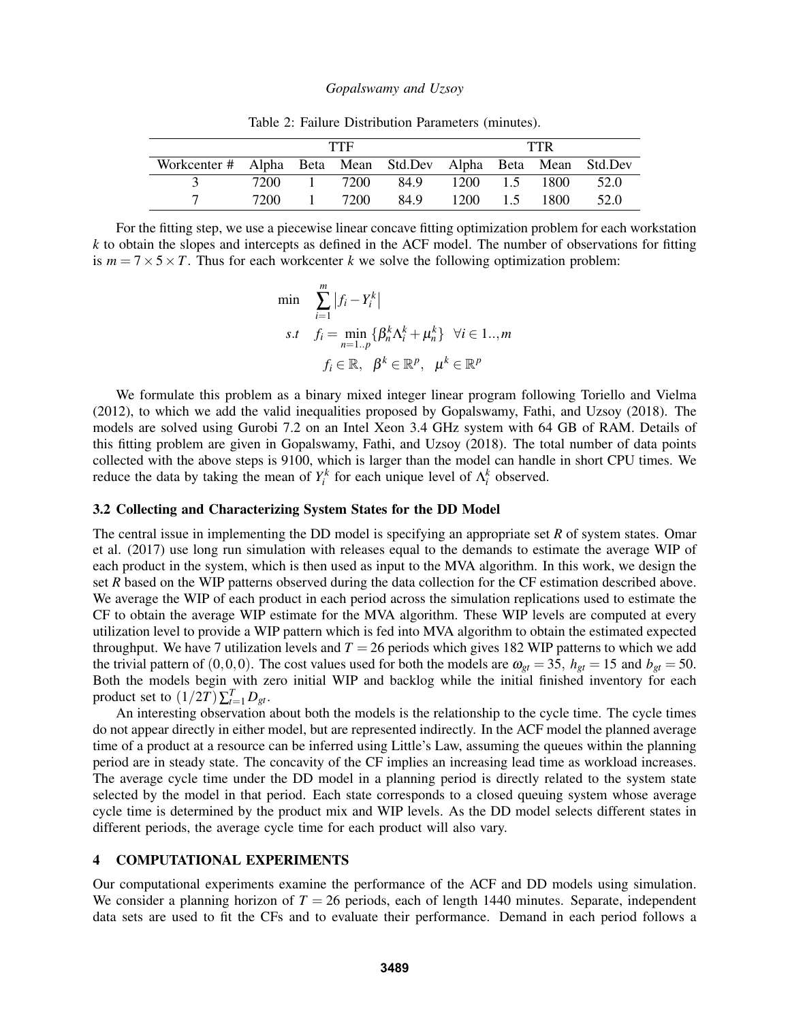|                                                              |  | TTF         | TTR  |               |  |      |      |
|--------------------------------------------------------------|--|-------------|------|---------------|--|------|------|
| Workcenter # Alpha Beta Mean Std.Dev Alpha Beta Mean Std.Dev |  |             |      |               |  |      |      |
|                                                              |  | 7200 1 7200 | 84.9 | 1200 1.5 1800 |  |      | 52.0 |
|                                                              |  | 7200 1 7200 | 84.9 | 1200 1.5      |  | 1800 | 52.0 |

Table 2: Failure Distribution Parameters (minutes).

For the fitting step, we use a piecewise linear concave fitting optimization problem for each workstation *k* to obtain the slopes and intercepts as defined in the ACF model. The number of observations for fitting is  $m = 7 \times 5 \times T$ . Thus for each workcenter *k* we solve the following optimization problem:

$$
\min \sum_{i=1}^{m} |f_i - Y_i^k|
$$
\n
$$
s.t \quad f_i = \min_{n=1..p} \{ \beta_n^k \Lambda_i^k + \mu_n^k \} \quad \forall i \in 1.., m
$$
\n
$$
f_i \in \mathbb{R}, \quad \beta^k \in \mathbb{R}^p, \quad \mu^k \in \mathbb{R}^p
$$

We formulate this problem as a binary mixed integer linear program following Toriello and Vielma (2012), to which we add the valid inequalities proposed by Gopalswamy, Fathi, and Uzsoy (2018). The models are solved using Gurobi 7.2 on an Intel Xeon 3.4 GHz system with 64 GB of RAM. Details of this fitting problem are given in Gopalswamy, Fathi, and Uzsoy (2018). The total number of data points collected with the above steps is 9100, which is larger than the model can handle in short CPU times. We reduce the data by taking the mean of  $Y_i^k$  for each unique level of  $\Lambda_i^k$  observed.

### 3.2 Collecting and Characterizing System States for the DD Model

The central issue in implementing the DD model is specifying an appropriate set *R* of system states. Omar et al. (2017) use long run simulation with releases equal to the demands to estimate the average WIP of each product in the system, which is then used as input to the MVA algorithm. In this work, we design the set *R* based on the WIP patterns observed during the data collection for the CF estimation described above. We average the WIP of each product in each period across the simulation replications used to estimate the CF to obtain the average WIP estimate for the MVA algorithm. These WIP levels are computed at every utilization level to provide a WIP pattern which is fed into MVA algorithm to obtain the estimated expected throughput. We have 7 utilization levels and  $T = 26$  periods which gives 182 WIP patterns to which we add the trivial pattern of  $(0,0,0)$ . The cost values used for both the models are  $\omega_{gt} = 35$ ,  $h_{gt} = 15$  and  $b_{gt} = 50$ . Both the models begin with zero initial WIP and backlog while the initial finished inventory for each product set to  $(1/2T)\sum_{t=1}^{T}D_{gt}$ .

An interesting observation about both the models is the relationship to the cycle time. The cycle times do not appear directly in either model, but are represented indirectly. In the ACF model the planned average time of a product at a resource can be inferred using Little's Law, assuming the queues within the planning period are in steady state. The concavity of the CF implies an increasing lead time as workload increases. The average cycle time under the DD model in a planning period is directly related to the system state selected by the model in that period. Each state corresponds to a closed queuing system whose average cycle time is determined by the product mix and WIP levels. As the DD model selects different states in different periods, the average cycle time for each product will also vary.

# 4 COMPUTATIONAL EXPERIMENTS

Our computational experiments examine the performance of the ACF and DD models using simulation. We consider a planning horizon of  $T = 26$  periods, each of length 1440 minutes. Separate, independent data sets are used to fit the CFs and to evaluate their performance. Demand in each period follows a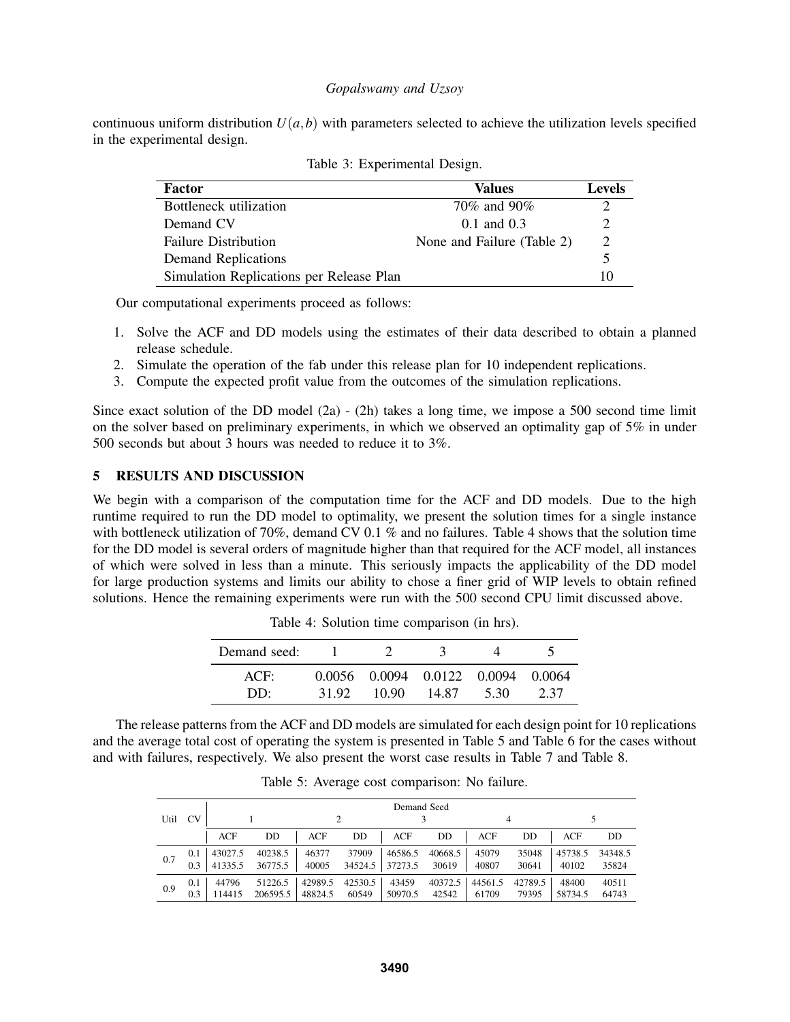continuous uniform distribution  $U(a, b)$  with parameters selected to achieve the utilization levels specified in the experimental design.

| Factor                                   | Values                     | <b>Levels</b> |
|------------------------------------------|----------------------------|---------------|
| Bottleneck utilization                   | 70% and 90%                |               |
| Demand CV                                | $0.1$ and $0.3$            |               |
| <b>Failure Distribution</b>              | None and Failure (Table 2) | $\mathcal{D}$ |
| <b>Demand Replications</b>               |                            |               |
| Simulation Replications per Release Plan |                            | 10            |

| Table 3: Experimental Design. |  |
|-------------------------------|--|
|-------------------------------|--|

Our computational experiments proceed as follows:

- 1. Solve the ACF and DD models using the estimates of their data described to obtain a planned release schedule.
- 2. Simulate the operation of the fab under this release plan for 10 independent replications.
- 3. Compute the expected profit value from the outcomes of the simulation replications.

Since exact solution of the DD model  $(2a) - (2h)$  takes a long time, we impose a 500 second time limit on the solver based on preliminary experiments, in which we observed an optimality gap of 5% in under 500 seconds but about 3 hours was needed to reduce it to 3%.

# 5 RESULTS AND DISCUSSION

We begin with a comparison of the computation time for the ACF and DD models. Due to the high runtime required to run the DD model to optimality, we present the solution times for a single instance with bottleneck utilization of 70%, demand CV 0.1% and no failures. Table 4 shows that the solution time for the DD model is several orders of magnitude higher than that required for the ACF model, all instances of which were solved in less than a minute. This seriously impacts the applicability of the DD model for large production systems and limits our ability to chose a finer grid of WIP levels to obtain refined solutions. Hence the remaining experiments were run with the 500 second CPU limit discussed above.

| Demand seed: |       |                                    |       |      |      |
|--------------|-------|------------------------------------|-------|------|------|
| ACF:         |       | 0.0056 0.0094 0.0122 0.0094 0.0064 |       |      |      |
| DD.          | 31.92 | 10.90                              | 14.87 | 5.30 | 2.37 |

Table 4: Solution time comparison (in hrs).

The release patterns from the ACF and DD models are simulated for each design point for 10 replications and the average total cost of operating the system is presented in Table 5 and Table 6 for the cases without and with failures, respectively. We also present the worst case results in Table 7 and Table 8.

|                   |     |         |          |         |         | Demand Seed |         |         |         |         |         |
|-------------------|-----|---------|----------|---------|---------|-------------|---------|---------|---------|---------|---------|
| <b>CV</b><br>Util |     |         |          |         |         |             |         |         |         |         |         |
|                   |     | ACF     | DD       | ACF     | DD      | ACF         | DD      | ACF     | DD      | ACF     | DD      |
|                   | 0.1 | 43027.5 | 40238.5  | 46377   | 37909   | 46586.5     | 40668.5 | 45079   | 35048   | 45738.5 | 34348.5 |
| 0.7               | 0.3 | 41335.5 | 36775.5  | 40005   | 34524.5 | 37273.5     | 30619   | 40807   | 30641   | 40102   | 35824   |
|                   | 0.1 | 44796   | 51226.5  | 42989.5 | 42530.5 | 43459       | 40372.5 | 44561.5 | 42789.5 | 48400   | 40511   |
| 0.9               | 0.3 | 14415   | 206595.5 | 48824.5 | 60549   | 50970.5     | 42542   | 61709   | 79395   | 58734.5 | 64743   |

Table 5: Average cost comparison: No failure.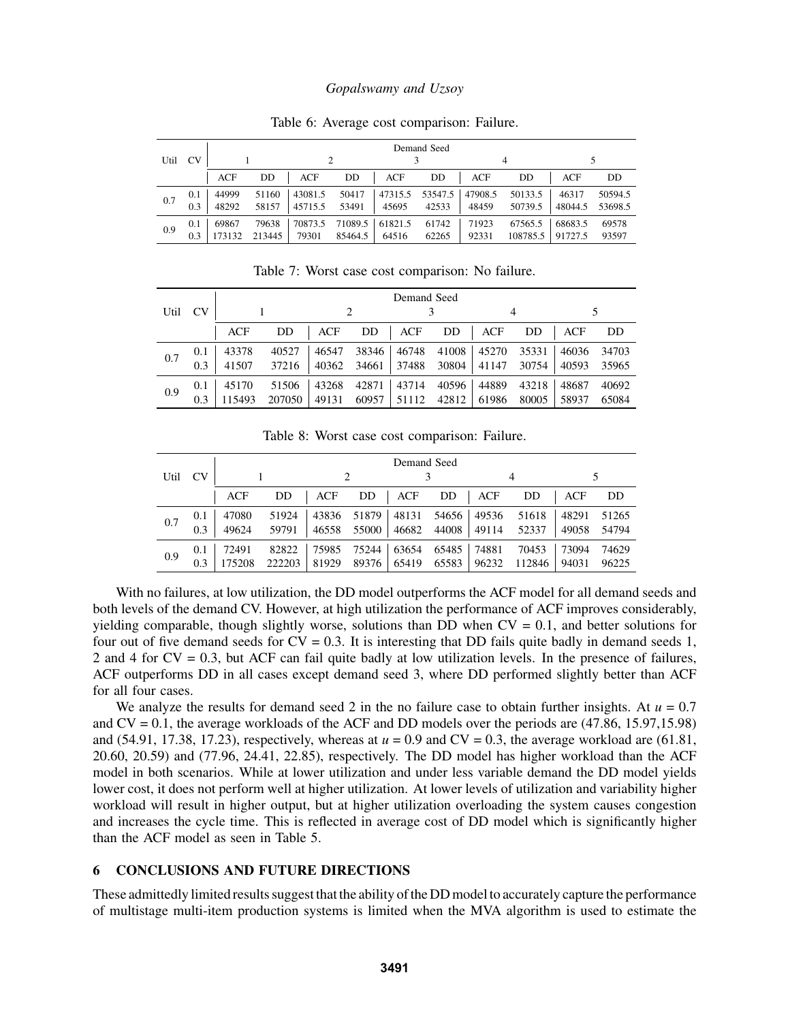| Util | <b>CV</b>  |                |                 | Demand Seed        |                    |                  |                  |                  |                     |                    |                    |
|------|------------|----------------|-----------------|--------------------|--------------------|------------------|------------------|------------------|---------------------|--------------------|--------------------|
|      |            | ACF            | DD              | ACF                | DD                 | ACF              | DD               | ACF              | DD                  | ACF                | DD                 |
| 0.7  | 0.1<br>0.3 | 44999<br>48292 | 51160<br>58157  | 43081.5<br>45715.5 | 50417<br>53491     | 47315.5<br>45695 | 53547.5<br>42533 | 47908.5<br>48459 | 50133.5<br>50739.5  | 46317<br>48044.5   | 50594.5<br>53698.5 |
| 0.9  | 0.1<br>0.3 | 69867          | 79638<br>213445 | 70873.5<br>79301   | 71089.5<br>85464.5 | 61821.5<br>64516 | 61742<br>62265   | 71923<br>92331   | 67565.5<br>108785.5 | 68683.5<br>91727.5 | 69578<br>93597     |

Table 6: Average cost comparison: Failure.

Table 7: Worst case cost comparison: No failure.

|      |           | Demand Seed |        |            |       |       |       |            |       |       |       |
|------|-----------|-------------|--------|------------|-------|-------|-------|------------|-------|-------|-------|
| Util | <b>CV</b> |             |        |            |       |       |       |            |       |       |       |
|      |           | <b>ACF</b>  | DD     | <b>ACF</b> | DD    | ACF   | DD    | <b>ACF</b> | DD    | ACF   | DD    |
| 0.7  | 0.1       | 43378       | 40527  | 46547      | 38346 | 46748 | 41008 | 45270      | 35331 | 46036 | 34703 |
|      | 0.3       | 41507       | 37216  | 40362      | 34661 | 37488 | 30804 | 41147      | 30754 | 40593 | 35965 |
|      | 0.1       | 45170       | 51506  | 43268      | 42871 | 43714 | 40596 | 44889      | 43218 | 48687 | 40692 |
| 0.9  | 0.3       | 115493      | 207050 | 49131      | 60957 | 51112 | 42812 | 61986      | 80005 | 58937 | 65084 |

Table 8: Worst case cost comparison: Failure.

|      | <b>CV</b> | Demand Seed |        |            |       |            |       |            |        |       |       |
|------|-----------|-------------|--------|------------|-------|------------|-------|------------|--------|-------|-------|
| Util |           |             |        | 2          |       |            |       |            |        |       |       |
|      |           | ACF         | DD     | <b>ACF</b> | DD    | <b>ACF</b> | DD    | <b>ACF</b> | DD     | ACF   | DD    |
| 0.7  | 0.1       | 47080       | 51924  | 43836      | 51879 | 48131      | 54656 | 49536      | 51618  | 48291 | 51265 |
|      | 0.3       | 49624       | 59791  | 46558      | 55000 | 46682      | 44008 | 49114      | 52337  | 49058 | 54794 |
| 0.9  | 0.1       | 72491       | 82822  | 75985      | 75244 | 63654      | 65485 | 74881      | 70453  | 73094 | 74629 |
|      | 0.3       |             | 222203 | 81929      | 89376 | 65419      | 65583 | 96232      | 112846 | 94031 | 96225 |

With no failures, at low utilization, the DD model outperforms the ACF model for all demand seeds and both levels of the demand CV. However, at high utilization the performance of ACF improves considerably, yielding comparable, though slightly worse, solutions than DD when  $CV = 0.1$ , and better solutions for four out of five demand seeds for  $CV = 0.3$ . It is interesting that DD fails quite badly in demand seeds 1, 2 and 4 for CV = 0.3, but ACF can fail quite badly at low utilization levels. In the presence of failures, ACF outperforms DD in all cases except demand seed 3, where DD performed slightly better than ACF for all four cases.

We analyze the results for demand seed 2 in the no failure case to obtain further insights. At  $u = 0.7$ and CV = 0.1, the average workloads of the ACF and DD models over the periods are (47.86, 15.97,15.98) and  $(54.91, 17.38, 17.23)$ , respectively, whereas at  $u = 0.9$  and  $CV = 0.3$ , the average workload are  $(61.81, 1.91)$ 20.60, 20.59) and (77.96, 24.41, 22.85), respectively. The DD model has higher workload than the ACF model in both scenarios. While at lower utilization and under less variable demand the DD model yields lower cost, it does not perform well at higher utilization. At lower levels of utilization and variability higher workload will result in higher output, but at higher utilization overloading the system causes congestion and increases the cycle time. This is reflected in average cost of DD model which is significantly higher than the ACF model as seen in Table 5.

# 6 CONCLUSIONS AND FUTURE DIRECTIONS

These admittedly limited results suggest that the ability of the DD model to accurately capture the performance of multistage multi-item production systems is limited when the MVA algorithm is used to estimate the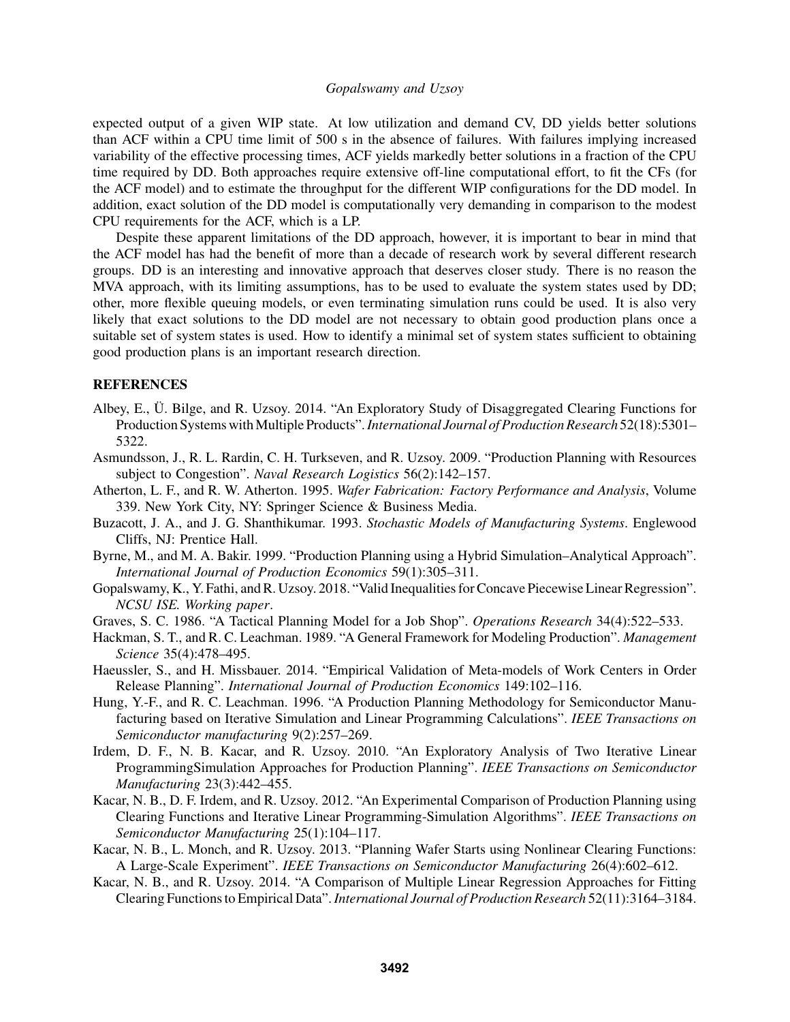expected output of a given WIP state. At low utilization and demand CV, DD yields better solutions than ACF within a CPU time limit of 500 s in the absence of failures. With failures implying increased variability of the effective processing times, ACF yields markedly better solutions in a fraction of the CPU time required by DD. Both approaches require extensive off-line computational effort, to fit the CFs (for the ACF model) and to estimate the throughput for the different WIP configurations for the DD model. In addition, exact solution of the DD model is computationally very demanding in comparison to the modest CPU requirements for the ACF, which is a LP.

Despite these apparent limitations of the DD approach, however, it is important to bear in mind that the ACF model has had the benefit of more than a decade of research work by several different research groups. DD is an interesting and innovative approach that deserves closer study. There is no reason the MVA approach, with its limiting assumptions, has to be used to evaluate the system states used by DD; other, more flexible queuing models, or even terminating simulation runs could be used. It is also very likely that exact solutions to the DD model are not necessary to obtain good production plans once a suitable set of system states is used. How to identify a minimal set of system states sufficient to obtaining good production plans is an important research direction.

## REFERENCES

- Albey, E., U. Bilge, and R. Uzsoy. 2014. "An Exploratory Study of Disaggregated Clearing Functions for ¨ Production Systems withMultiple Products".*International Journal of Production Research* 52(18):5301– 5322.
- Asmundsson, J., R. L. Rardin, C. H. Turkseven, and R. Uzsoy. 2009. "Production Planning with Resources subject to Congestion". *Naval Research Logistics* 56(2):142–157.
- Atherton, L. F., and R. W. Atherton. 1995. *Wafer Fabrication: Factory Performance and Analysis*, Volume 339. New York City, NY: Springer Science & Business Media.
- Buzacott, J. A., and J. G. Shanthikumar. 1993. *Stochastic Models of Manufacturing Systems*. Englewood Cliffs, NJ: Prentice Hall.
- Byrne, M., and M. A. Bakir. 1999. "Production Planning using a Hybrid Simulation–Analytical Approach". *International Journal of Production Economics* 59(1):305–311.
- Gopalswamy, K., Y. Fathi, and R. Uzsoy. 2018. "Valid Inequalities for Concave Piecewise Linear Regression". *NCSU ISE. Working paper*.
- Graves, S. C. 1986. "A Tactical Planning Model for a Job Shop". *Operations Research* 34(4):522–533.
- Hackman, S. T., and R. C. Leachman. 1989. "A General Framework for Modeling Production". *Management Science* 35(4):478–495.
- Haeussler, S., and H. Missbauer. 2014. "Empirical Validation of Meta-models of Work Centers in Order Release Planning". *International Journal of Production Economics* 149:102–116.
- Hung, Y.-F., and R. C. Leachman. 1996. "A Production Planning Methodology for Semiconductor Manufacturing based on Iterative Simulation and Linear Programming Calculations". *IEEE Transactions on Semiconductor manufacturing* 9(2):257–269.
- Irdem, D. F., N. B. Kacar, and R. Uzsoy. 2010. "An Exploratory Analysis of Two Iterative Linear ProgrammingSimulation Approaches for Production Planning". *IEEE Transactions on Semiconductor Manufacturing* 23(3):442–455.
- Kacar, N. B., D. F. Irdem, and R. Uzsoy. 2012. "An Experimental Comparison of Production Planning using Clearing Functions and Iterative Linear Programming-Simulation Algorithms". *IEEE Transactions on Semiconductor Manufacturing* 25(1):104–117.
- Kacar, N. B., L. Monch, and R. Uzsoy. 2013. "Planning Wafer Starts using Nonlinear Clearing Functions: A Large-Scale Experiment". *IEEE Transactions on Semiconductor Manufacturing* 26(4):602–612.
- Kacar, N. B., and R. Uzsoy. 2014. "A Comparison of Multiple Linear Regression Approaches for Fitting Clearing Functions to Empirical Data".*International Journal of Production Research* 52(11):3164–3184.